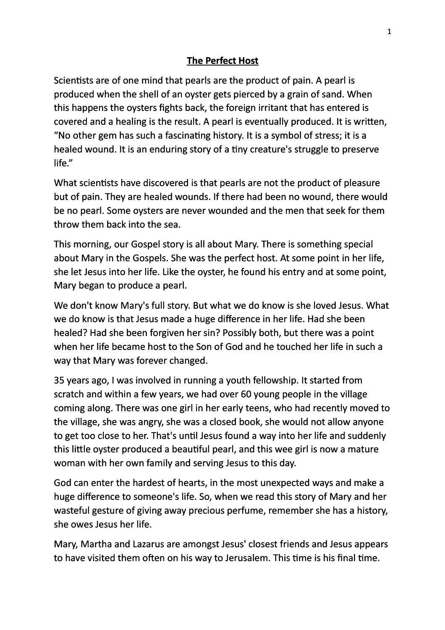## **The Perfect Host**

Scientists are of one mind that pearls are the product of pain. A pearl is produced when the shell of an oyster gets pierced by a grain of sand. When this happens the oysters fights back, the foreign irritant that has entered is covered and a healing is the result. A pearl is eventually produced. It is written, "No other gem has such a fascinating history. It is a symbol of stress; it is a healed wound. It is an enduring story of a tiny creature's struggle to preserve life."

What scientists have discovered is that pearls are not the product of pleasure but of pain. They are healed wounds. If there had been no wound, there would be no pearl. Some oysters are never wounded and the men that seek for them throw them back into the sea.

This morning, our Gospel story is all about Mary. There is something special about Mary in the Gospels. She was the perfect host. At some point in her life, she let Jesus into her life. Like the oyster, he found his entry and at some point, Mary began to produce a pearl.

We don't know Mary's full story. But what we do know is she loved Jesus. What we do know is that Jesus made a huge difference in her life. Had she been healed? Had she been forgiven her sin? Possibly both, but there was a point when her life became host to the Son of God and he touched her life in such a way that Mary was forever changed.

35 years ago, I was involved in running a youth fellowship. It started from scratch and within a few years, we had over 60 young people in the village coming along. There was one girl in her early teens, who had recently moved to the village, she was angry, she was a closed book, she would not allow anyone to get too close to her. That's until Jesus found a way into her life and suddenly this little oyster produced a beautiful pearl, and this wee girl is now a mature woman with her own family and serving Jesus to this day.

God can enter the hardest of hearts, in the most unexpected ways and make a huge difference to someone's life. So, when we read this story of Mary and her wasteful gesture of giving away precious perfume, remember she has a history, she owes Jesus her life.

Mary, Martha and Lazarus are amongst Jesus' closest friends and Jesus appears to have visited them often on his way to Jerusalem. This time is his final time.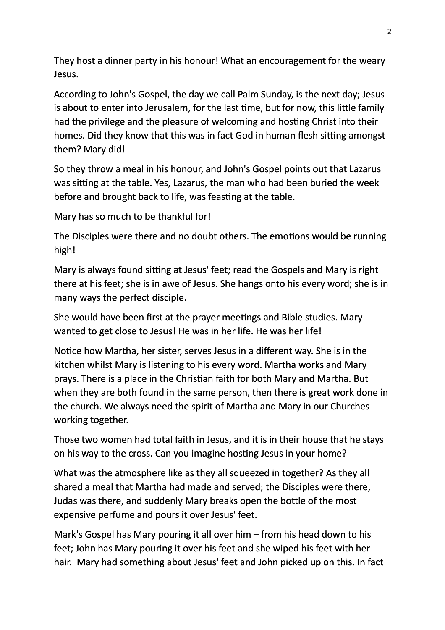They host a dinner party in his honour! What an encouragement for the weary Jesus.

According to John's Gospel, the day we call Palm Sunday, is the next day; Jesus is about to enter into Jerusalem, for the last time, but for now, this little family had the privilege and the pleasure of welcoming and hosting Christ into their homes. Did they know that this was in fact God in human flesh sitting amongst them? Mary did!

So they throw a meal in his honour, and John's Gospel points out that Lazarus was sitting at the table. Yes, Lazarus, the man who had been buried the week before and brought back to life, was feasting at the table.

Mary has so much to be thankful for!

The Disciples were there and no doubt others. The emotions would be running high!

Mary is always found sitting at Jesus' feet; read the Gospels and Mary is right there at his feet; she is in awe of Jesus. She hangs onto his every word; she is in many ways the perfect disciple.

She would have been first at the prayer meetings and Bible studies. Mary wanted to get close to Jesus! He was in her life. He was her life!

Notice how Martha, her sister, serves Jesus in a different way. She is in the kitchen whilst Mary is listening to his every word. Martha works and Mary prays. There is a place in the Christian faith for both Mary and Martha. But when they are both found in the same person, then there is great work done in the church. We always need the spirit of Martha and Mary in our Churches working together.

Those two women had total faith in Jesus, and it is in their house that he stays on his way to the cross. Can you imagine hosting Jesus in your home?

What was the atmosphere like as they all squeezed in together? As they all shared a meal that Martha had made and served; the Disciples were there, Judas was there, and suddenly Mary breaks open the bottle of the most expensive perfume and pours it over Jesus' feet.

Mark's Gospel has Mary pouring it all over him  $-$  from his head down to his feet; John has Mary pouring it over his feet and she wiped his feet with her hair. Mary had something about Jesus' feet and John picked up on this. In fact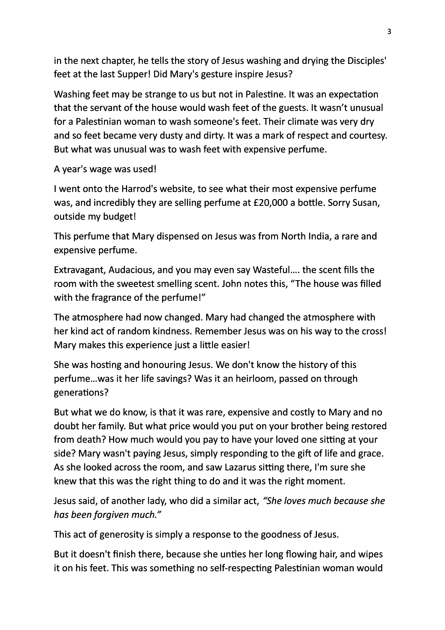in the next chapter, he tells the story of Jesus washing and drying the Disciples' feet at the last Supper! Did Mary's gesture inspire Jesus?

Washing feet may be strange to us but not in Palestine. It was an expectation that the servant of the house would wash feet of the guests. It wasn't unusual for a Palestinian woman to wash someone's feet. Their climate was very dry and so feet became very dusty and dirty. It was a mark of respect and courtesy. But what was unusual was to wash feet with expensive perfume.

A year's wage was used!

I went onto the Harrod's website, to see what their most expensive perfume was, and incredibly they are selling perfume at £20,000 a bottle. Sorry Susan, outside my budget!

This perfume that Mary dispensed on Jesus was from North India, a rare and expensive perfume.

Extravagant, Audacious, and you may even say Wasteful.... the scent fills the room with the sweetest smelling scent. John notes this, "The house was filled with the fragrance of the perfume!"

The atmosphere had now changed. Mary had changed the atmosphere with her kind act of random kindness. Remember Jesus was on his way to the cross! Mary makes this experience just a little easier!

She was hosting and honouring Jesus. We don't know the history of this perfume...was it her life savings? Was it an heirloom, passed on through generations?

But what we do know, is that it was rare, expensive and costly to Mary and no doubt her family. But what price would you put on your brother being restored from death? How much would you pay to have your loved one sitting at your side? Mary wasn't paying Jesus, simply responding to the gift of life and grace. As she looked across the room, and saw Lazarus sitting there, I'm sure she knew that this was the right thing to do and it was the right moment.

Jesus said, of another lady, who did a similar act, "She loves much because she *has been forgiven much."*

This act of generosity is simply a response to the goodness of Jesus.

But it doesn't finish there, because she unties her long flowing hair, and wipes it on his feet. This was something no self-respecting Palestinian woman would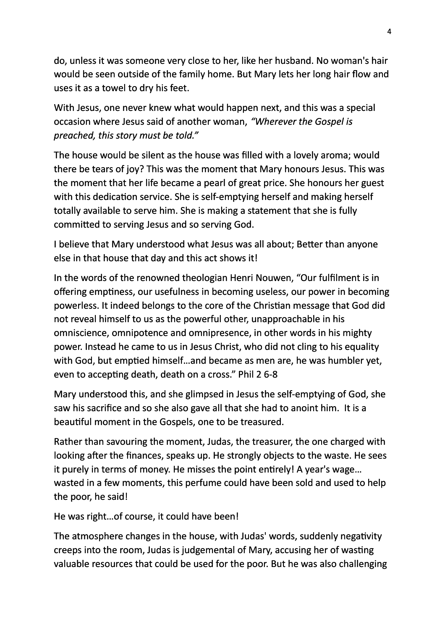do, unless it was someone very close to her, like her husband. No woman's hair would be seen outside of the family home. But Mary lets her long hair flow and uses it as a towel to dry his feet.

With Jesus, one never knew what would happen next, and this was a special occasion where Jesus said of another woman, "Wherever the Gospel is *preached, this story must be told."* 

The house would be silent as the house was filled with a lovely aroma; would there be tears of joy? This was the moment that Mary honours Jesus. This was the moment that her life became a pearl of great price. She honours her guest with this dedication service. She is self-emptying herself and making herself totally available to serve him. She is making a statement that she is fully committed to serving Jesus and so serving God.

I believe that Mary understood what Jesus was all about; Better than anyone else in that house that day and this act shows it!

In the words of the renowned theologian Henri Nouwen, "Our fulfilment is in offering emptiness, our usefulness in becoming useless, our power in becoming powerless. It indeed belongs to the core of the Christian message that God did not reveal himself to us as the powerful other, unapproachable in his omniscience, omnipotence and omnipresence, in other words in his mighty power. Instead he came to us in Jesus Christ, who did not cling to his equality with God, but emptied himself...and became as men are, he was humbler yet, even to accepting death, death on a cross." Phil 2 6-8

Mary understood this, and she glimpsed in Jesus the self-emptying of God, she saw his sacrifice and so she also gave all that she had to anoint him. It is a beautiful moment in the Gospels, one to be treasured.

Rather than savouring the moment, Judas, the treasurer, the one charged with looking after the finances, speaks up. He strongly objects to the waste. He sees it purely in terms of money. He misses the point entirely! A year's wage... wasted in a few moments, this perfume could have been sold and used to help the poor, he said!

He was right...of course, it could have been!

The atmosphere changes in the house, with Judas' words, suddenly negativity creeps into the room, Judas is judgemental of Mary, accusing her of wasting valuable resources that could be used for the poor. But he was also challenging